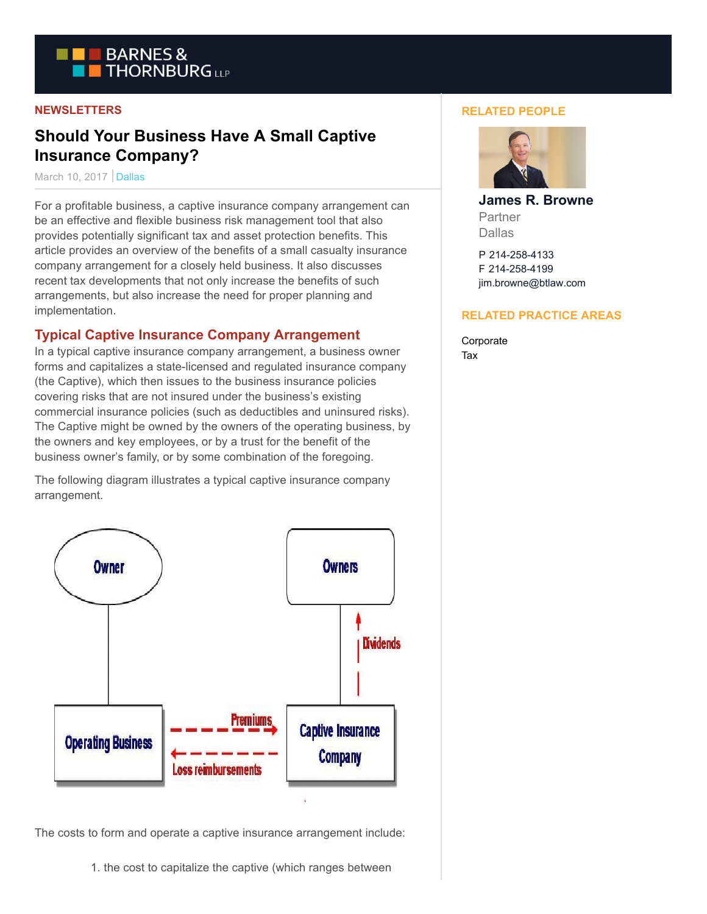

#### **NEWSLETTERS**

# **Should Your Business Have A Small Captive Insurance Company?**

March 10, 2017 Dallas

For a profitable business, a captive insurance company arrangement can be an effective and flexible business risk management tool that also provides potentially significant tax and asset protection benefits. This article provides an overview of the benefits of a small casualty insurance company arrangement for a closely held business. It also discusses recent tax developments that not only increase the benefits of such arrangements, but also increase the need for proper planning and implementation.

## **Typical Captive Insurance Company Arrangement**

In a typical captive insurance company arrangement, a business owner forms and capitalizes a state-licensed and regulated insurance company (the Captive), which then issues to the business insurance policies covering risks that are not insured under the business's existing commercial insurance policies (such as deductibles and uninsured risks). The Captive might be owned by the owners of the operating business, by the owners and key employees, or by a trust for the benefit of the business owner's family, or by some combination of the foregoing.

The following diagram illustrates a typical captive insurance company arrangement.



The costs to form and operate a captive insurance arrangement include:

1. the cost to capitalize the captive (which ranges between

#### **RELATED PEOPLE**



**James R. Browne** Partner Dallas

P 214-258-4133 F 214-258-4199 jim.browne@btlaw.com

#### **RELATED PRACTICE AREAS**

Corporate Tax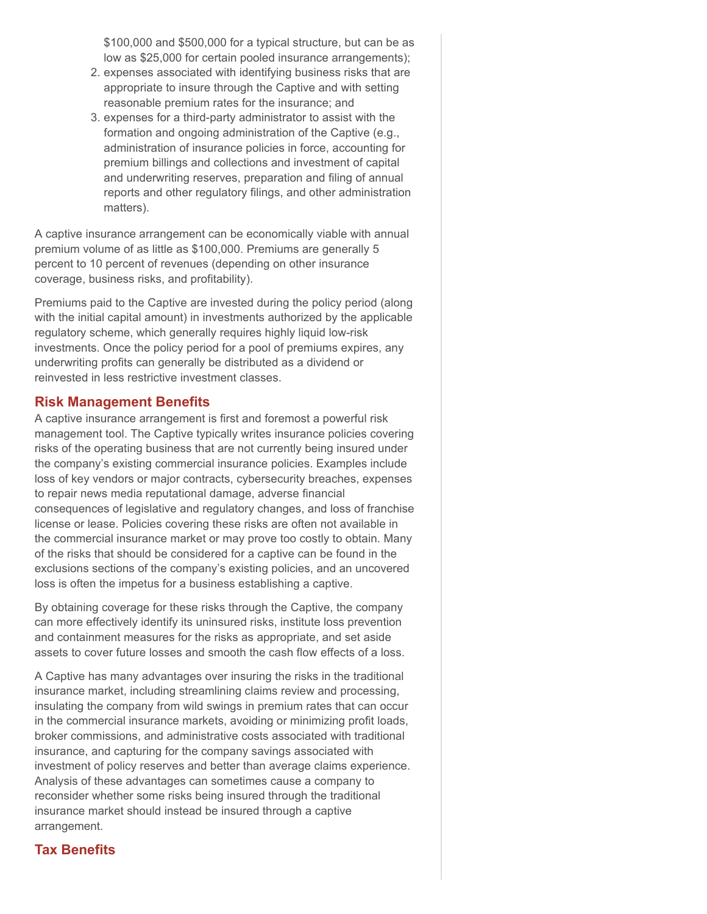\$100,000 and \$500,000 for a typical structure, but can be as low as \$25,000 for certain pooled insurance arrangements);

- 2. expenses associated with identifying business risks that are appropriate to insure through the Captive and with setting reasonable premium rates for the insurance; and
- 3. expenses for a third-party administrator to assist with the formation and ongoing administration of the Captive (e.g., administration of insurance policies in force, accounting for premium billings and collections and investment of capital and underwriting reserves, preparation and filing of annual reports and other regulatory filings, and other administration matters).

A captive insurance arrangement can be economically viable with annual premium volume of as little as \$100,000. Premiums are generally 5 percent to 10 percent of revenues (depending on other insurance coverage, business risks, and profitability).

Premiums paid to the Captive are invested during the policy period (along with the initial capital amount) in investments authorized by the applicable regulatory scheme, which generally requires highly liquid low-risk investments. Once the policy period for a pool of premiums expires, any underwriting profits can generally be distributed as a dividend or reinvested in less restrictive investment classes.

#### **Risk Management Benefits**

A captive insurance arrangement is first and foremost a powerful risk management tool. The Captive typically writes insurance policies covering risks of the operating business that are not currently being insured under the company's existing commercial insurance policies. Examples include loss of key vendors or major contracts, cybersecurity breaches, expenses to repair news media reputational damage, adverse financial consequences of legislative and regulatory changes, and loss of franchise license or lease. Policies covering these risks are often not available in the commercial insurance market or may prove too costly to obtain. Many of the risks that should be considered for a captive can be found in the exclusions sections of the company's existing policies, and an uncovered loss is often the impetus for a business establishing a captive.

By obtaining coverage for these risks through the Captive, the company can more effectively identify its uninsured risks, institute loss prevention and containment measures for the risks as appropriate, and set aside assets to cover future losses and smooth the cash flow effects of a loss.

A Captive has many advantages over insuring the risks in the traditional insurance market, including streamlining claims review and processing, insulating the company from wild swings in premium rates that can occur in the commercial insurance markets, avoiding or minimizing profit loads, broker commissions, and administrative costs associated with traditional insurance, and capturing for the company savings associated with investment of policy reserves and better than average claims experience. Analysis of these advantages can sometimes cause a company to reconsider whether some risks being insured through the traditional insurance market should instead be insured through a captive arrangement.

# **Tax Benefits**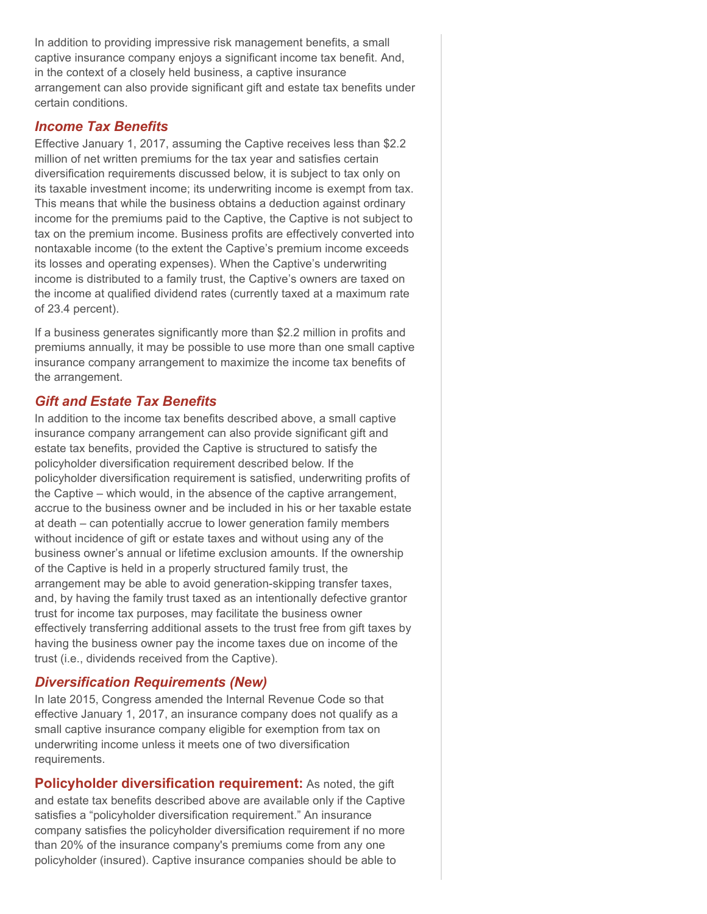In addition to providing impressive risk management benefits, a small captive insurance company enjoys a significant income tax benefit. And, in the context of a closely held business, a captive insurance arrangement can also provide significant gift and estate tax benefits under certain conditions.

## *Income Tax Benefits*

Effective January 1, 2017, assuming the Captive receives less than \$2.2 million of net written premiums for the tax year and satisfies certain diversification requirements discussed below, it is subject to tax only on its taxable investment income; its underwriting income is exempt from tax. This means that while the business obtains a deduction against ordinary income for the premiums paid to the Captive, the Captive is not subject to tax on the premium income. Business profits are effectively converted into nontaxable income (to the extent the Captive's premium income exceeds its losses and operating expenses). When the Captive's underwriting income is distributed to a family trust, the Captive's owners are taxed on the income at qualified dividend rates (currently taxed at a maximum rate of 23.4 percent).

If a business generates significantly more than \$2.2 million in profits and premiums annually, it may be possible to use more than one small captive insurance company arrangement to maximize the income tax benefits of the arrangement.

## *Gift and Estate Tax Benefits*

In addition to the income tax benefits described above, a small captive insurance company arrangement can also provide significant gift and estate tax benefits, provided the Captive is structured to satisfy the policyholder diversification requirement described below. If the policyholder diversification requirement is satisfied, underwriting profits of the Captive – which would, in the absence of the captive arrangement, accrue to the business owner and be included in his or her taxable estate at death – can potentially accrue to lower generation family members without incidence of gift or estate taxes and without using any of the business owner's annual or lifetime exclusion amounts. If the ownership of the Captive is held in a properly structured family trust, the arrangement may be able to avoid generation-skipping transfer taxes, and, by having the family trust taxed as an intentionally defective grantor trust for income tax purposes, may facilitate the business owner effectively transferring additional assets to the trust free from gift taxes by having the business owner pay the income taxes due on income of the trust (i.e., dividends received from the Captive).

# *Diversification Requirements (New)*

In late 2015, Congress amended the Internal Revenue Code so that effective January 1, 2017, an insurance company does not qualify as a small captive insurance company eligible for exemption from tax on underwriting income unless it meets one of two diversification requirements.

**Policyholder diversification requirement:** As noted, the gift and estate tax benefits described above are available only if the Captive satisfies a "policyholder diversification requirement." An insurance company satisfies the policyholder diversification requirement if no more than 20% of the insurance company's premiums come from any one policyholder (insured). Captive insurance companies should be able to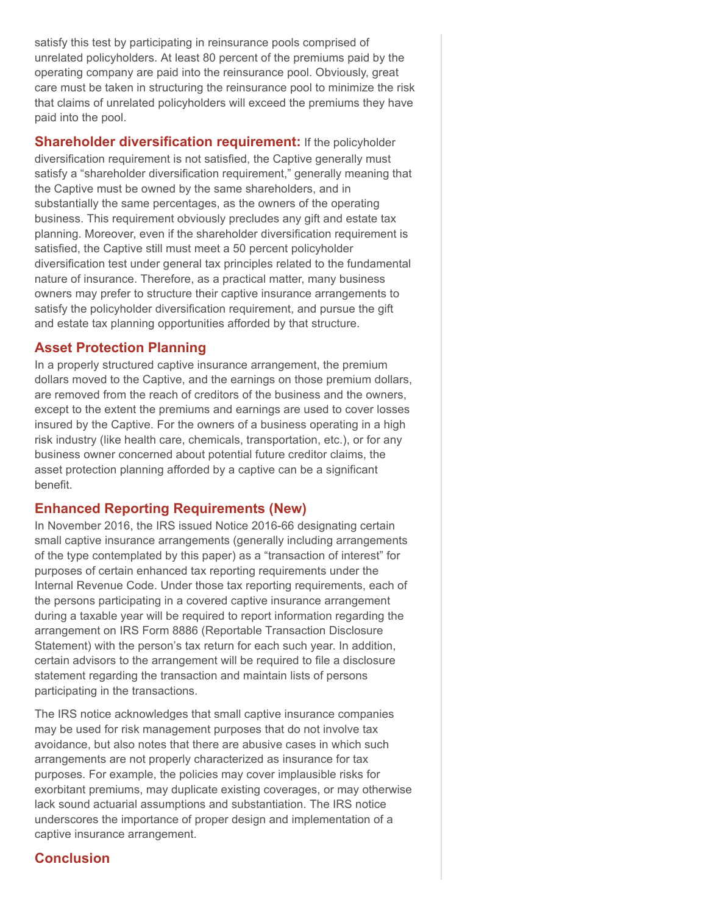satisfy this test by participating in reinsurance pools comprised of unrelated policyholders. At least 80 percent of the premiums paid by the operating company are paid into the reinsurance pool. Obviously, great care must be taken in structuring the reinsurance pool to minimize the risk that claims of unrelated policyholders will exceed the premiums they have paid into the pool.

**Shareholder diversification requirement:** If the policyholder diversification requirement is not satisfied, the Captive generally must satisfy a "shareholder diversification requirement," generally meaning that the Captive must be owned by the same shareholders, and in substantially the same percentages, as the owners of the operating business. This requirement obviously precludes any gift and estate tax planning. Moreover, even if the shareholder diversification requirement is satisfied, the Captive still must meet a 50 percent policyholder diversification test under general tax principles related to the fundamental nature of insurance. Therefore, as a practical matter, many business owners may prefer to structure their captive insurance arrangements to satisfy the policyholder diversification requirement, and pursue the gift and estate tax planning opportunities afforded by that structure.

#### **Asset Protection Planning**

In a properly structured captive insurance arrangement, the premium dollars moved to the Captive, and the earnings on those premium dollars, are removed from the reach of creditors of the business and the owners, except to the extent the premiums and earnings are used to cover losses insured by the Captive. For the owners of a business operating in a high risk industry (like health care, chemicals, transportation, etc.), or for any business owner concerned about potential future creditor claims, the asset protection planning afforded by a captive can be a significant benefit.

# **Enhanced Reporting Requirements (New)**

In November 2016, the IRS issued Notice 2016-66 designating certain small captive insurance arrangements (generally including arrangements of the type contemplated by this paper) as a "transaction of interest" for purposes of certain enhanced tax reporting requirements under the Internal Revenue Code. Under those tax reporting requirements, each of the persons participating in a covered captive insurance arrangement during a taxable year will be required to report information regarding the arrangement on IRS Form 8886 (Reportable Transaction Disclosure Statement) with the person's tax return for each such year. In addition, certain advisors to the arrangement will be required to file a disclosure statement regarding the transaction and maintain lists of persons participating in the transactions.

The IRS notice acknowledges that small captive insurance companies may be used for risk management purposes that do not involve tax avoidance, but also notes that there are abusive cases in which such arrangements are not properly characterized as insurance for tax purposes. For example, the policies may cover implausible risks for exorbitant premiums, may duplicate existing coverages, or may otherwise lack sound actuarial assumptions and substantiation. The IRS notice underscores the importance of proper design and implementation of a captive insurance arrangement.

# **Conclusion**